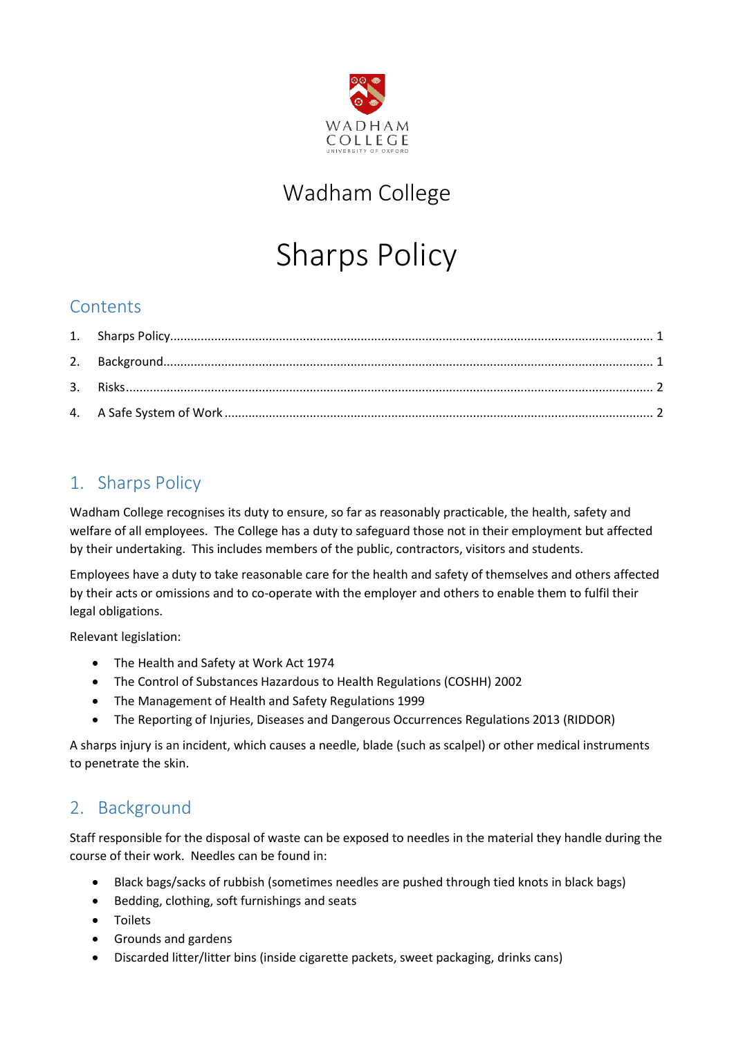

## Wadham College

# Sharps Policy

#### **Contents**

### <span id="page-0-0"></span>1. Sharps Policy

Wadham College recognises its duty to ensure, so far as reasonably practicable, the health, safety and welfare of all employees. The College has a duty to safeguard those not in their employment but affected by their undertaking. This includes members of the public, contractors, visitors and students.

Employees have a duty to take reasonable care for the health and safety of themselves and others affected by their acts or omissions and to co-operate with the employer and others to enable them to fulfil their legal obligations.

Relevant legislation:

- The Health and Safety at Work Act 1974
- The Control of Substances Hazardous to Health Regulations (COSHH) 2002
- The Management of Health and Safety Regulations 1999
- The Reporting of Injuries, Diseases and Dangerous Occurrences Regulations 2013 (RIDDOR)

A sharps injury is an incident, which causes a needle, blade (such as scalpel) or other medical instruments to penetrate the skin.

#### <span id="page-0-1"></span>2. Background

Staff responsible for the disposal of waste can be exposed to needles in the material they handle during the course of their work. Needles can be found in:

- Black bags/sacks of rubbish (sometimes needles are pushed through tied knots in black bags)
- Bedding, clothing, soft furnishings and seats
- Toilets
- Grounds and gardens
- Discarded litter/litter bins (inside cigarette packets, sweet packaging, drinks cans)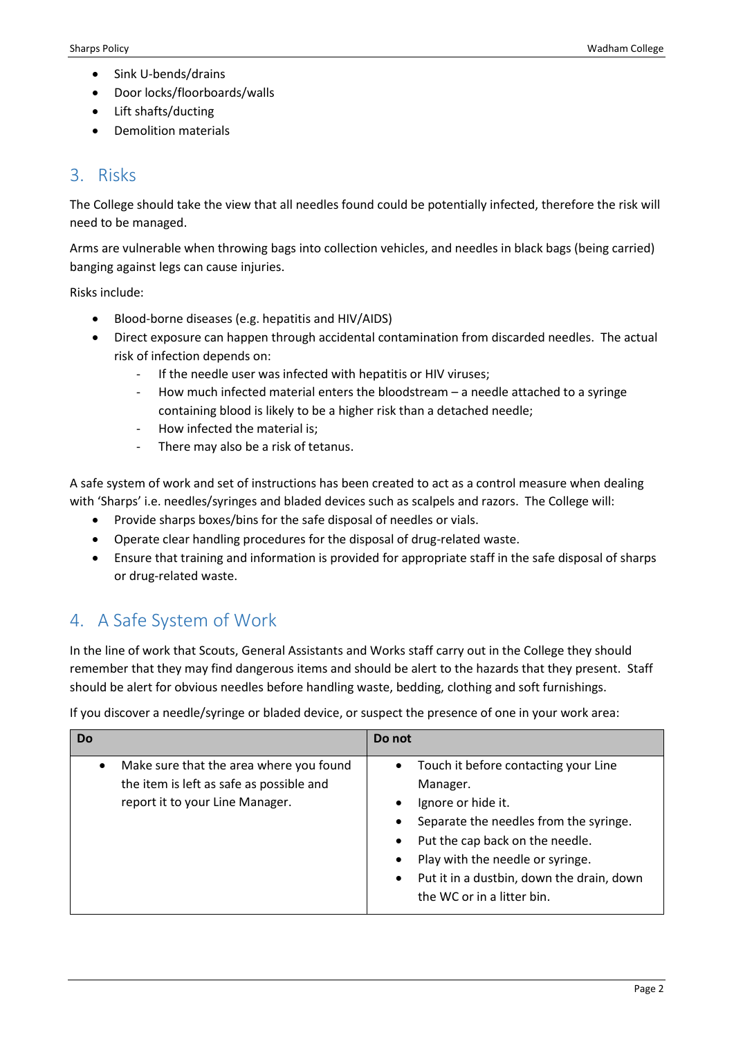- Sink U-bends/drains
- Door locks/floorboards/walls
- Lift shafts/ducting
- Demolition materials

#### <span id="page-1-0"></span>3. Risks

The College should take the view that all needles found could be potentially infected, therefore the risk will need to be managed.

Arms are vulnerable when throwing bags into collection vehicles, and needles in black bags (being carried) banging against legs can cause injuries.

Risks include:

- Blood-borne diseases (e.g. hepatitis and HIV/AIDS)
- Direct exposure can happen through accidental contamination from discarded needles. The actual risk of infection depends on:
	- If the needle user was infected with hepatitis or HIV viruses;
	- How much infected material enters the bloodstream  $-$  a needle attached to a syringe containing blood is likely to be a higher risk than a detached needle;
	- How infected the material is;
	- There may also be a risk of tetanus.

A safe system of work and set of instructions has been created to act as a control measure when dealing with 'Sharps' i.e. needles/syringes and bladed devices such as scalpels and razors. The College will:

- Provide sharps boxes/bins for the safe disposal of needles or vials.
- Operate clear handling procedures for the disposal of drug-related waste.
- Ensure that training and information is provided for appropriate staff in the safe disposal of sharps or drug-related waste.

#### <span id="page-1-1"></span>4. A Safe System of Work

In the line of work that Scouts, General Assistants and Works staff carry out in the College they should remember that they may find dangerous items and should be alert to the hazards that they present. Staff should be alert for obvious needles before handling waste, bedding, clothing and soft furnishings.

If you discover a needle/syringe or bladed device, or suspect the presence of one in your work area:

| Do                                                                                                                     | Do not                                                                                                                                                                                                                                                                                                                 |
|------------------------------------------------------------------------------------------------------------------------|------------------------------------------------------------------------------------------------------------------------------------------------------------------------------------------------------------------------------------------------------------------------------------------------------------------------|
| Make sure that the area where you found<br>the item is left as safe as possible and<br>report it to your Line Manager. | Touch it before contacting your Line<br>$\bullet$<br>Manager.<br>Ignore or hide it.<br>Separate the needles from the syringe.<br>$\bullet$<br>Put the cap back on the needle.<br>$\bullet$<br>Play with the needle or syringe.<br>Put it in a dustbin, down the drain, down<br>$\bullet$<br>the WC or in a litter bin. |